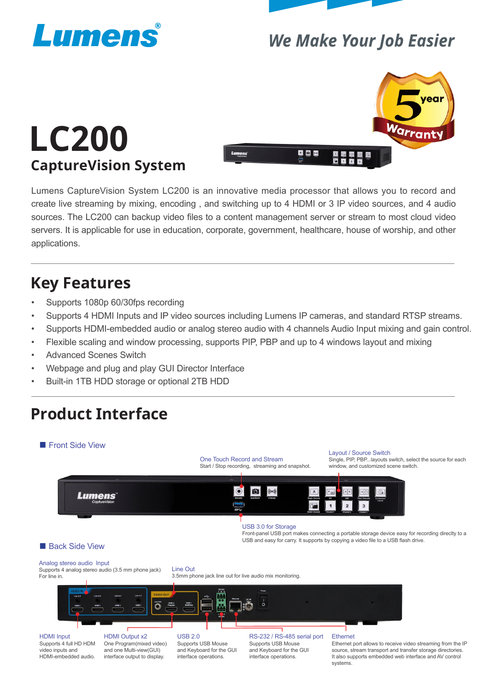



### **We Make Your Job Easier**



# **LC200 CaptureVision System**

Lumens CaptureVision System LC200 is an innovative media processor that allows you to record and create live streaming by mixing, encoding , and switching up to 4 HDMI or 3 IP video sources, and 4 audio sources. The LC200 can backup video files to a content management server or stream to most cloud video servers. It is applicable for use in education, corporate, government, healthcare, house of worship, and other applications.

### **Key Features**

- Supports 1080p 60/30fps recording
- Supports 4 HDMI Inputs and IP video sources including Lumens IP cameras, and standard RTSP streams.
- Supports HDMI-embedded audio or analog stereo audio with 4 channels Audio Input mixing and gain control.
- Flexible scaling and window processing, supports PIP, PBP and up to 4 windows layout and mixing
- Advanced Scenes Switch
- Webpage and plug and play GUI Director Interface
- Built-in 1TB HDD storage or optional 2TB HDD

# **Product Interface**